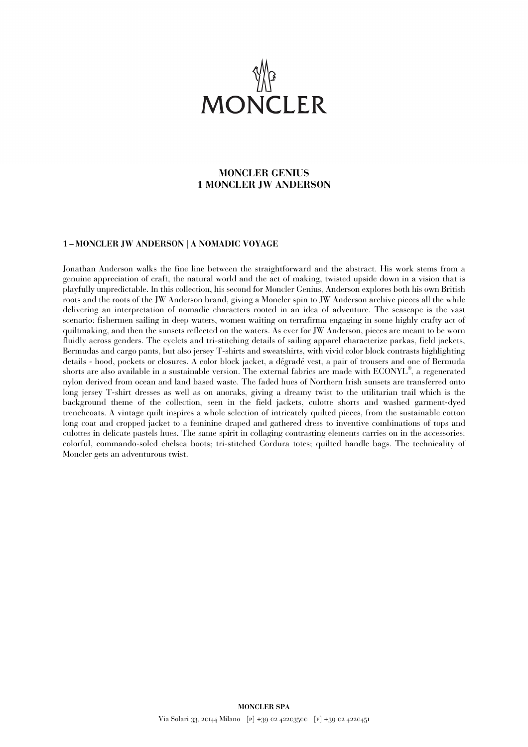

## **MONCLER GENIUS 1 MONCLER JW ANDERSON**

## **1 – MONCLER JW ANDERSON | A NOMADIC VOYAGE**

Jonathan Anderson walks the fine line between the straightforward and the abstract. His work stems from a genuine appreciation of craft, the natural world and the act of making, twisted upside down in a vision that is playfully unpredictable. In this collection, his second for Moncler Genius, Anderson explores both his own British roots and the roots of the JW Anderson brand, giving a Moncler spin to JW Anderson archive pieces all the while delivering an interpretation of nomadic characters rooted in an idea of adventure. The seascape is the vast scenario: fishermen sailing in deep waters, women waiting on terrafirma engaging in some highly crafty act of quiltmaking, and then the sunsets reflected on the waters. As ever for JW Anderson, pieces are meant to be worn fluidly across genders. The eyelets and tri-stitching details of sailing apparel characterize parkas, field jackets, Bermudas and cargo pants, but also jersey T-shirts and sweatshirts, with vivid color block contrasts highlighting details - hood, pockets or closures. A color block jacket, a dégradé vest, a pair of trousers and one of Bermuda shorts are also available in a sustainable version. The external fabrics are made with ECONYL® , a regenerated nylon derived from ocean and land based waste. The faded hues of Northern Irish sunsets are transferred onto long jersey T-shirt dresses as well as on anoraks, giving a dreamy twist to the utilitarian trail which is the background theme of the collection, seen in the field jackets, culotte shorts and washed garment-dyed trenchcoats. A vintage quilt inspires a whole selection of intricately quilted pieces, from the sustainable cotton long coat and cropped jacket to a feminine draped and gathered dress to inventive combinations of tops and culottes in delicate pastels hues. The same spirit in collaging contrasting elements carries on in the accessories: colorful, commando-soled chelsea boots; tri-stitched Cordura totes; quilted handle bags. The technicality of Moncler gets an adventurous twist.